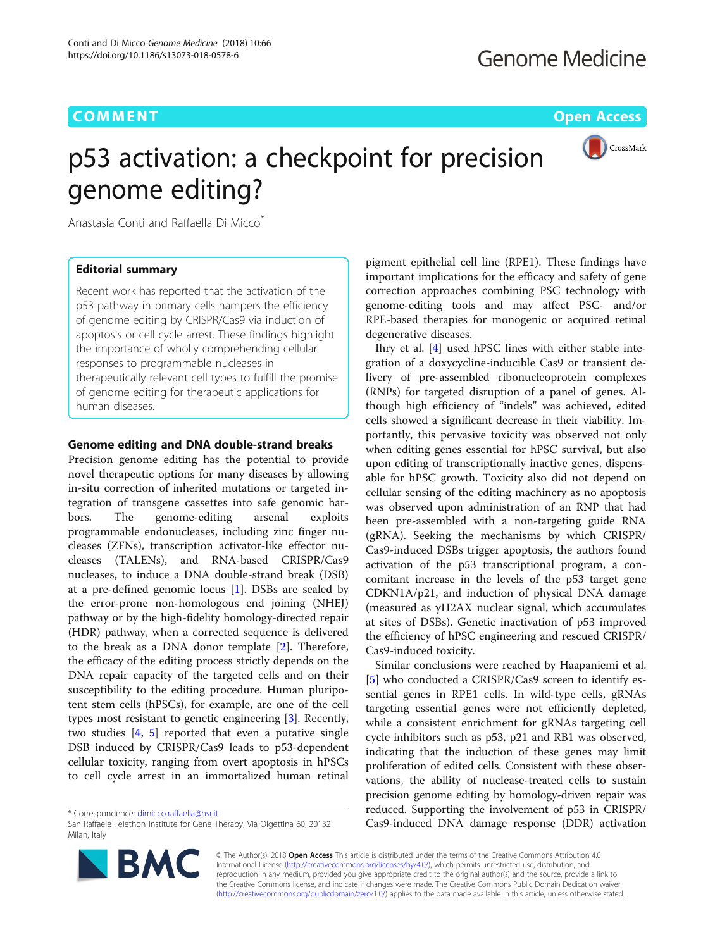# **COMMENT COMMENT COMMENT COMMENT**



# p53 activation: a checkpoint for precision genome editing?

Anastasia Conti and Raffaella Di Micco<sup>\*</sup>

# Editorial summary

Recent work has reported that the activation of the p53 pathway in primary cells hampers the efficiency of genome editing by CRISPR/Cas9 via induction of apoptosis or cell cycle arrest. These findings highlight the importance of wholly comprehending cellular responses to programmable nucleases in therapeutically relevant cell types to fulfill the promise of genome editing for therapeutic applications for human diseases.

# Genome editing and DNA double-strand breaks

Precision genome editing has the potential to provide novel therapeutic options for many diseases by allowing in-situ correction of inherited mutations or targeted integration of transgene cassettes into safe genomic harbors. The genome-editing arsenal exploits programmable endonucleases, including zinc finger nucleases (ZFNs), transcription activator-like effector nucleases (TALENs), and RNA-based CRISPR/Cas9 nucleases, to induce a DNA double-strand break (DSB) at a pre-defined genomic locus [\[1](#page-3-0)]. DSBs are sealed by the error-prone non-homologous end joining (NHEJ) pathway or by the high-fidelity homology-directed repair (HDR) pathway, when a corrected sequence is delivered to the break as a DNA donor template [\[2](#page-3-0)]. Therefore, the efficacy of the editing process strictly depends on the DNA repair capacity of the targeted cells and on their susceptibility to the editing procedure. Human pluripotent stem cells (hPSCs), for example, are one of the cell types most resistant to genetic engineering [\[3\]](#page-3-0). Recently, two studies  $[4, 5]$  $[4, 5]$  $[4, 5]$  $[4, 5]$  $[4, 5]$  reported that even a putative single DSB induced by CRISPR/Cas9 leads to p53-dependent cellular toxicity, ranging from overt apoptosis in hPSCs to cell cycle arrest in an immortalized human retinal

\* Correspondence: [dimicco.raffaella@hsr.it](mailto:dimicco.raffaella@hsr.it)

San Raffaele Telethon Institute for Gene Therapy, Via Olgettina 60, 20132 Milan, Italy



pigment epithelial cell line (RPE1). These findings have important implications for the efficacy and safety of gene correction approaches combining PSC technology with genome-editing tools and may affect PSC- and/or RPE-based therapies for monogenic or acquired retinal degenerative diseases.

Ihry et al. [\[4](#page-3-0)] used hPSC lines with either stable integration of a doxycycline-inducible Cas9 or transient delivery of pre-assembled ribonucleoprotein complexes (RNPs) for targeted disruption of a panel of genes. Although high efficiency of "indels" was achieved, edited cells showed a significant decrease in their viability. Importantly, this pervasive toxicity was observed not only when editing genes essential for hPSC survival, but also upon editing of transcriptionally inactive genes, dispensable for hPSC growth. Toxicity also did not depend on cellular sensing of the editing machinery as no apoptosis was observed upon administration of an RNP that had been pre-assembled with a non-targeting guide RNA (gRNA). Seeking the mechanisms by which CRISPR/ Cas9-induced DSBs trigger apoptosis, the authors found activation of the p53 transcriptional program, a concomitant increase in the levels of the p53 target gene CDKN1A/p21, and induction of physical DNA damage (measured as γH2AX nuclear signal, which accumulates at sites of DSBs). Genetic inactivation of p53 improved the efficiency of hPSC engineering and rescued CRISPR/ Cas9-induced toxicity.

Similar conclusions were reached by Haapaniemi et al. [[5\]](#page-3-0) who conducted a CRISPR/Cas9 screen to identify essential genes in RPE1 cells. In wild-type cells, gRNAs targeting essential genes were not efficiently depleted, while a consistent enrichment for gRNAs targeting cell cycle inhibitors such as p53, p21 and RB1 was observed, indicating that the induction of these genes may limit proliferation of edited cells. Consistent with these observations, the ability of nuclease-treated cells to sustain precision genome editing by homology-driven repair was reduced. Supporting the involvement of p53 in CRISPR/ Cas9-induced DNA damage response (DDR) activation

© The Author(s). 2018 Open Access This article is distributed under the terms of the Creative Commons Attribution 4.0 International License [\(http://creativecommons.org/licenses/by/4.0/](http://creativecommons.org/licenses/by/4.0/)), which permits unrestricted use, distribution, and reproduction in any medium, provided you give appropriate credit to the original author(s) and the source, provide a link to the Creative Commons license, and indicate if changes were made. The Creative Commons Public Domain Dedication waiver [\(http://creativecommons.org/publicdomain/zero/1.0/](http://creativecommons.org/publicdomain/zero/1.0/)) applies to the data made available in this article, unless otherwise stated.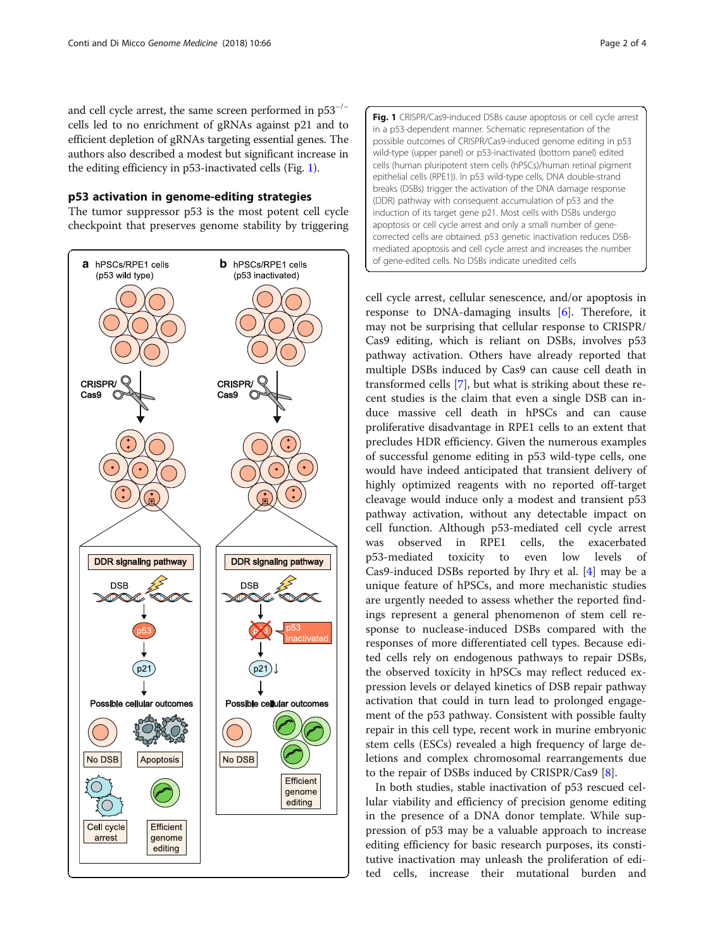and cell cycle arrest, the same screen performed in  $p53^{-/-}$ cells led to no enrichment of gRNAs against p21 and to efficient depletion of gRNAs targeting essential genes. The authors also described a modest but significant increase in the editing efficiency in p53-inactivated cells (Fig. 1).

# p53 activation in genome-editing strategies

The tumor suppressor p53 is the most potent cell cycle checkpoint that preserves genome stability by triggering



Fig. 1 CRISPR/Cas9-induced DSBs cause apoptosis or cell cycle arrest in a p53-dependent manner. Schematic representation of the possible outcomes of CRISPR/Cas9-induced genome editing in p53 wild-type (upper panel) or p53-inactivated (bottom panel) edited cells (human pluripotent stem cells (hPSCs)/human retinal pigment epithelial cells (RPE1)). In p53 wild-type cells, DNA double-strand breaks (DSBs) trigger the activation of the DNA damage response (DDR) pathway with consequent accumulation of p53 and the induction of its target gene p21. Most cells with DSBs undergo apoptosis or cell cycle arrest and only a small number of genecorrected cells are obtained. p53 genetic inactivation reduces DSBmediated apoptosis and cell cycle arrest and increases the number of gene-edited cells. No DSBs indicate unedited cells

cell cycle arrest, cellular senescence, and/or apoptosis in response to DNA-damaging insults [[6\]](#page-3-0). Therefore, it may not be surprising that cellular response to CRISPR/ Cas9 editing, which is reliant on DSBs, involves p53 pathway activation. Others have already reported that multiple DSBs induced by Cas9 can cause cell death in transformed cells [\[7](#page-3-0)], but what is striking about these recent studies is the claim that even a single DSB can induce massive cell death in hPSCs and can cause proliferative disadvantage in RPE1 cells to an extent that precludes HDR efficiency. Given the numerous examples of successful genome editing in p53 wild-type cells, one would have indeed anticipated that transient delivery of highly optimized reagents with no reported off-target cleavage would induce only a modest and transient p53 pathway activation, without any detectable impact on cell function. Although p53-mediated cell cycle arrest was observed in RPE1 cells, the exacerbated p53-mediated toxicity to even low levels of Cas9-induced DSBs reported by Ihry et al. [[4\]](#page-3-0) may be a unique feature of hPSCs, and more mechanistic studies are urgently needed to assess whether the reported findings represent a general phenomenon of stem cell response to nuclease-induced DSBs compared with the responses of more differentiated cell types. Because edited cells rely on endogenous pathways to repair DSBs, the observed toxicity in hPSCs may reflect reduced expression levels or delayed kinetics of DSB repair pathway activation that could in turn lead to prolonged engagement of the p53 pathway. Consistent with possible faulty repair in this cell type, recent work in murine embryonic stem cells (ESCs) revealed a high frequency of large deletions and complex chromosomal rearrangements due to the repair of DSBs induced by CRISPR/Cas9 [\[8](#page-3-0)].

In both studies, stable inactivation of p53 rescued cellular viability and efficiency of precision genome editing in the presence of a DNA donor template. While suppression of p53 may be a valuable approach to increase editing efficiency for basic research purposes, its constitutive inactivation may unleash the proliferation of edited cells, increase their mutational burden and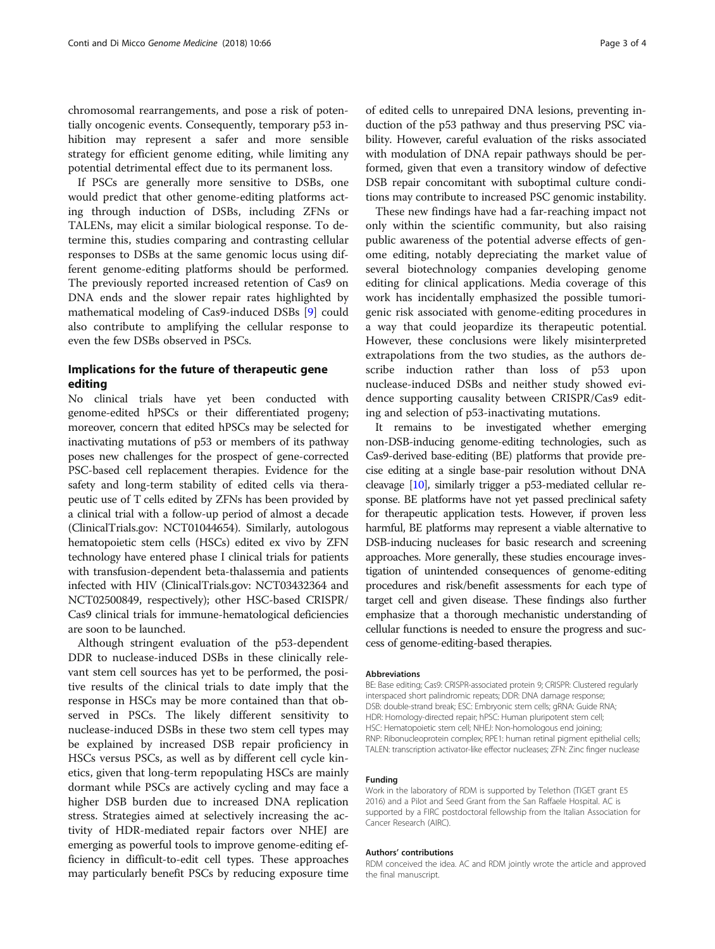chromosomal rearrangements, and pose a risk of potentially oncogenic events. Consequently, temporary p53 inhibition may represent a safer and more sensible strategy for efficient genome editing, while limiting any potential detrimental effect due to its permanent loss.

If PSCs are generally more sensitive to DSBs, one would predict that other genome-editing platforms acting through induction of DSBs, including ZFNs or TALENs, may elicit a similar biological response. To determine this, studies comparing and contrasting cellular responses to DSBs at the same genomic locus using different genome-editing platforms should be performed. The previously reported increased retention of Cas9 on DNA ends and the slower repair rates highlighted by mathematical modeling of Cas9-induced DSBs [\[9](#page-3-0)] could also contribute to amplifying the cellular response to even the few DSBs observed in PSCs.

# Implications for the future of therapeutic gene editing

No clinical trials have yet been conducted with genome-edited hPSCs or their differentiated progeny; moreover, concern that edited hPSCs may be selected for inactivating mutations of p53 or members of its pathway poses new challenges for the prospect of gene-corrected PSC-based cell replacement therapies. Evidence for the safety and long-term stability of edited cells via therapeutic use of T cells edited by ZFNs has been provided by a clinical trial with a follow-up period of almost a decade (ClinicalTrials.gov: NCT01044654). Similarly, autologous hematopoietic stem cells (HSCs) edited ex vivo by ZFN technology have entered phase I clinical trials for patients with transfusion-dependent beta-thalassemia and patients infected with HIV (ClinicalTrials.gov: NCT03432364 and NCT02500849, respectively); other HSC-based CRISPR/ Cas9 clinical trials for immune-hematological deficiencies are soon to be launched.

Although stringent evaluation of the p53-dependent DDR to nuclease-induced DSBs in these clinically relevant stem cell sources has yet to be performed, the positive results of the clinical trials to date imply that the response in HSCs may be more contained than that observed in PSCs. The likely different sensitivity to nuclease-induced DSBs in these two stem cell types may be explained by increased DSB repair proficiency in HSCs versus PSCs, as well as by different cell cycle kinetics, given that long-term repopulating HSCs are mainly dormant while PSCs are actively cycling and may face a higher DSB burden due to increased DNA replication stress. Strategies aimed at selectively increasing the activity of HDR-mediated repair factors over NHEJ are emerging as powerful tools to improve genome-editing efficiency in difficult-to-edit cell types. These approaches may particularly benefit PSCs by reducing exposure time

of edited cells to unrepaired DNA lesions, preventing induction of the p53 pathway and thus preserving PSC viability. However, careful evaluation of the risks associated with modulation of DNA repair pathways should be performed, given that even a transitory window of defective DSB repair concomitant with suboptimal culture conditions may contribute to increased PSC genomic instability.

These new findings have had a far-reaching impact not only within the scientific community, but also raising public awareness of the potential adverse effects of genome editing, notably depreciating the market value of several biotechnology companies developing genome editing for clinical applications. Media coverage of this work has incidentally emphasized the possible tumorigenic risk associated with genome-editing procedures in a way that could jeopardize its therapeutic potential. However, these conclusions were likely misinterpreted extrapolations from the two studies, as the authors describe induction rather than loss of p53 upon nuclease-induced DSBs and neither study showed evidence supporting causality between CRISPR/Cas9 editing and selection of p53-inactivating mutations.

It remains to be investigated whether emerging non-DSB-inducing genome-editing technologies, such as Cas9-derived base-editing (BE) platforms that provide precise editing at a single base-pair resolution without DNA cleavage [\[10](#page-3-0)], similarly trigger a p53-mediated cellular response. BE platforms have not yet passed preclinical safety for therapeutic application tests. However, if proven less harmful, BE platforms may represent a viable alternative to DSB-inducing nucleases for basic research and screening approaches. More generally, these studies encourage investigation of unintended consequences of genome-editing procedures and risk/benefit assessments for each type of target cell and given disease. These findings also further emphasize that a thorough mechanistic understanding of cellular functions is needed to ensure the progress and success of genome-editing-based therapies.

#### Abbreviations

BE: Base editing; Cas9: CRISPR-associated protein 9; CRISPR: Clustered regularly interspaced short palindromic repeats; DDR: DNA damage response; DSB: double-strand break; ESC: Embryonic stem cells; gRNA: Guide RNA; HDR: Homology-directed repair; hPSC: Human pluripotent stem cell; HSC: Hematopoietic stem cell; NHEJ: Non-homologous end joining; RNP: Ribonucleoprotein complex; RPE1: human retinal pigment epithelial cells; TALEN: transcription activator-like effector nucleases; ZFN: Zinc finger nuclease

#### Funding

Work in the laboratory of RDM is supported by Telethon (TIGET grant E5 2016) and a Pilot and Seed Grant from the San Raffaele Hospital. AC is supported by a FIRC postdoctoral fellowship from the Italian Association for Cancer Research (AIRC).

#### Authors' contributions

RDM conceived the idea. AC and RDM jointly wrote the article and approved the final manuscript.